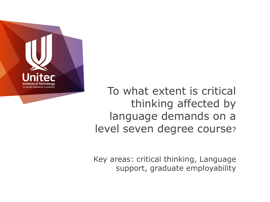

To what extent is critical thinking affected by language demands on a level seven degree course?

Key areas: critical thinking, Language support, graduate employability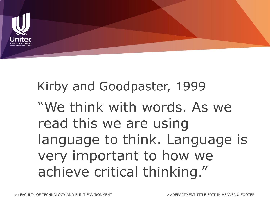

Kirby and Goodpaster, 1999 "We think with words. As we read this we are using language to think. Language is very important to how we achieve critical thinking."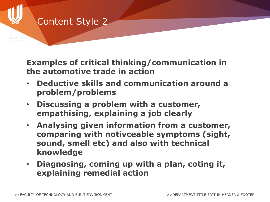# Content Style 2

**Examples of critical thinking/communication in the automotive trade in action**

- **Deductive skills and communication around a problem/problems**
- **Discussing a problem with a customer, empathising, explaining a job clearly**
- **Analysing given information from a customer, comparing with notivceable symptoms (sight, sound, smell etc) and also with technical knowledge**
- **Diagnosing, coming up with a plan, coting it, explaining remedial action**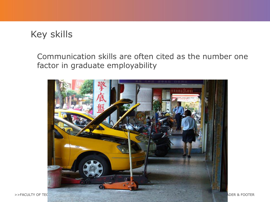# Key skills

Communication skills are often cited as the number one factor in graduate employability

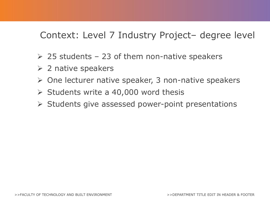## Context: Level 7 Industry Project– degree level

- $\geq$  25 students 23 of them non-native speakers
- $\triangleright$  2 native speakers
- $\triangleright$  One lecturer native speaker, 3 non-native speakers
- $\triangleright$  Students write a 40,000 word thesis
- $\triangleright$  Students give assessed power-point presentations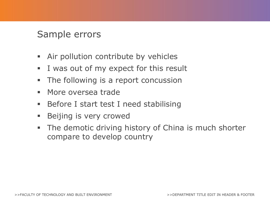### Sample errors

- Air pollution contribute by vehicles
- I was out of my expect for this result
- **The following is a report concussion**
- **More oversea trade**
- **Before I start test I need stabilising**
- **Beijing is very crowed**
- **The demotic driving history of China is much shorter** compare to develop country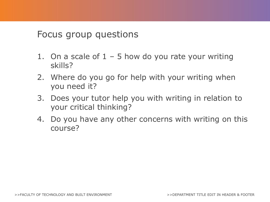#### Focus group questions

- 1. On a scale of  $1 5$  how do you rate your writing skills?
- 2. Where do you go for help with your writing when you need it?
- 3. Does your tutor help you with writing in relation to your critical thinking?
- 4. Do you have any other concerns with writing on this course?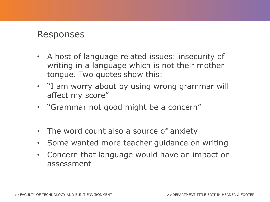#### Responses

- A host of language related issues: insecurity of writing in a language which is not their mother tongue. Two quotes show this:
- "I am worry about by using wrong grammar will affect my score"
- "Grammar not good might be a concern"
- The word count also a source of anxiety
- Some wanted more teacher guidance on writing
- Concern that language would have an impact on assessment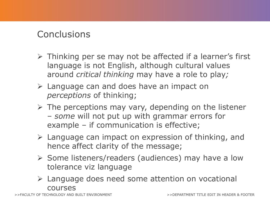### **Conclusions**

- $\triangleright$  Thinking per se may not be affected if a learner's first language is not English, although cultural values around *critical thinking* may have a role to play*;*
- Language can and does have an impact on *perceptions* of thinking;
- $\triangleright$  The perceptions may vary, depending on the listener – *some* will not put up with grammar errors for example – if communication is effective;
- $\triangleright$  Language can impact on expression of thinking, and hence affect clarity of the message;
- $\triangleright$  Some listeners/readers (audiences) may have a low tolerance viz language
- Language does need some attention on vocational courses

ACULTY OF TECHNOLOGY AND BUILT ENVIRONMENT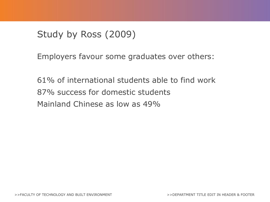# Study by Ross (2009)

Employers favour some graduates over others:

61% of international students able to find work 87% success for domestic students Mainland Chinese as low as 49%